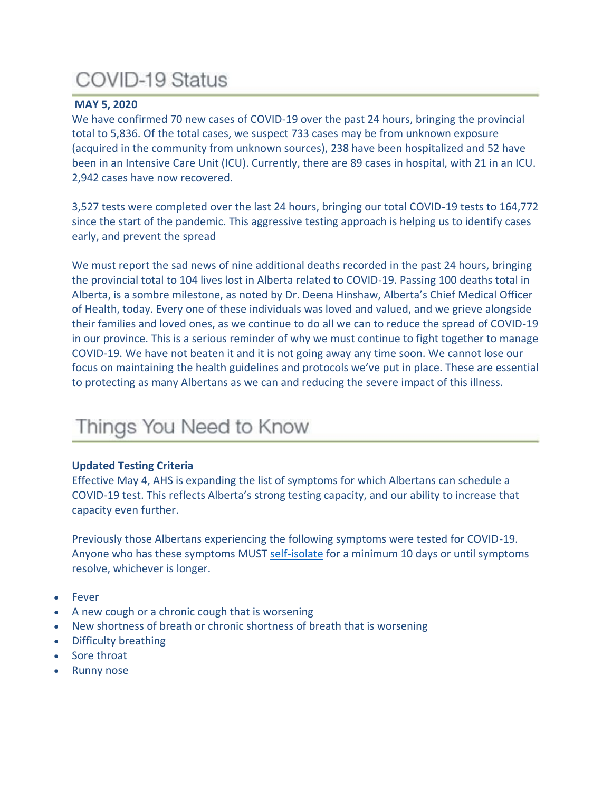# **COVID-19 Status**

# **MAY 5, 2020**

We have confirmed 70 new cases of COVID-19 over the past 24 hours, bringing the provincial total to 5,836. Of the total cases, we suspect 733 cases may be from unknown exposure (acquired in the community from unknown sources), 238 have been hospitalized and 52 have been in an Intensive Care Unit (ICU). Currently, there are 89 cases in hospital, with 21 in an ICU. 2,942 cases have now recovered.

3,527 tests were completed over the last 24 hours, bringing our total COVID-19 tests to 164,772 since the start of the pandemic. This aggressive testing approach is helping us to identify cases early, and prevent the spread

We must report the sad news of nine additional deaths recorded in the past 24 hours, bringing the provincial total to 104 lives lost in Alberta related to COVID-19. Passing 100 deaths total in Alberta, is a sombre milestone, as noted by Dr. Deena Hinshaw, Alberta's Chief Medical Officer of Health, today. Every one of these individuals was loved and valued, and we grieve alongside their families and loved ones, as we continue to do all we can to reduce the spread of COVID-19 in our province. This is a serious reminder of why we must continue to fight together to manage COVID-19. We have not beaten it and it is not going away any time soon. We cannot lose our focus on maintaining the health guidelines and protocols we've put in place. These are essential to protecting as many Albertans as we can and reducing the severe impact of this illness.

# Things You Need to Know

# **Updated Testing Criteria**

Effective May 4, AHS is expanding the list of symptoms for which Albertans can schedule a COVID-19 test. This reflects Alberta's strong testing capacity, and our ability to increase that capacity even further.

Previously those Albertans experiencing the following symptoms were tested for COVID-19. Anyone who has these symptoms MUST [self-isolate](https://www.alberta.ca/self-isolation.aspx) for a minimum 10 days or until symptoms resolve, whichever is longer.

- Fever
- A new cough or a chronic cough that is worsening
- New shortness of breath or chronic shortness of breath that is worsening
- Difficulty breathing
- Sore throat
- **Runny nose**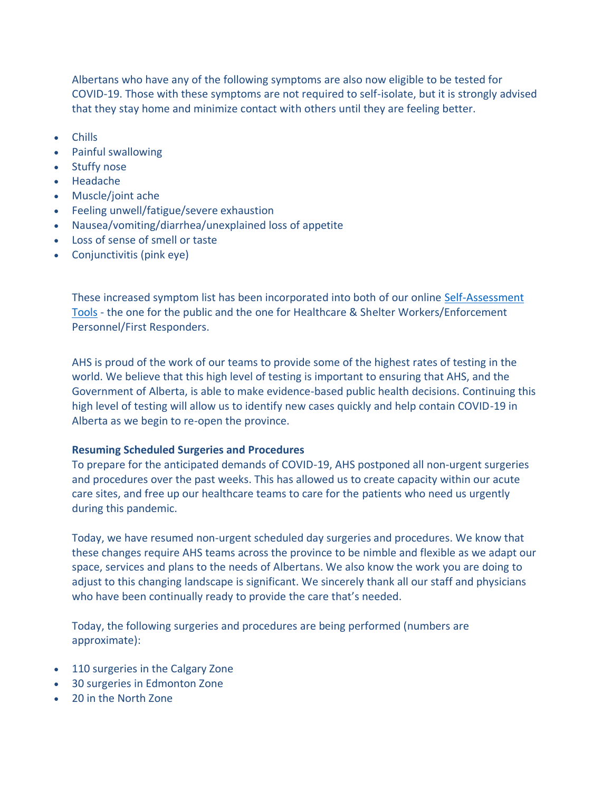Albertans who have any of the following symptoms are also now eligible to be tested for COVID-19. Those with these symptoms are not required to self-isolate, but it is strongly advised that they stay home and minimize contact with others until they are feeling better.

- Chills
- Painful swallowing
- Stuffy nose
- Headache
- Muscle/joint ache
- Feeling unwell/fatigue/severe exhaustion
- Nausea/vomiting/diarrhea/unexplained loss of appetite
- Loss of sense of smell or taste
- Conjunctivitis (pink eye)

These increased symptom list has been incorporated into both of our online [Self-Assessment](https://www.albertahealthservices.ca/topics/Page17058.aspx)  [Tools](https://www.albertahealthservices.ca/topics/Page17058.aspx) - the one for the public and the one for Healthcare & Shelter Workers/Enforcement Personnel/First Responders.

AHS is proud of the work of our teams to provide some of the highest rates of testing in the world. We believe that this high level of testing is important to ensuring that AHS, and the Government of Alberta, is able to make evidence-based public health decisions. Continuing this high level of testing will allow us to identify new cases quickly and help contain COVID-19 in Alberta as we begin to re-open the province.

# **Resuming Scheduled Surgeries and Procedures**

To prepare for the anticipated demands of COVID-19, AHS postponed all non-urgent surgeries and procedures over the past weeks. This has allowed us to create capacity within our acute care sites, and free up our healthcare teams to care for the patients who need us urgently during this pandemic.

Today, we have resumed non-urgent scheduled day surgeries and procedures. We know that these changes require AHS teams across the province to be nimble and flexible as we adapt our space, services and plans to the needs of Albertans. We also know the work you are doing to adjust to this changing landscape is significant. We sincerely thank all our staff and physicians who have been continually ready to provide the care that's needed.

Today, the following surgeries and procedures are being performed (numbers are approximate):

- 110 surgeries in the Calgary Zone
- 30 surgeries in Edmonton Zone
- 20 in the North Zone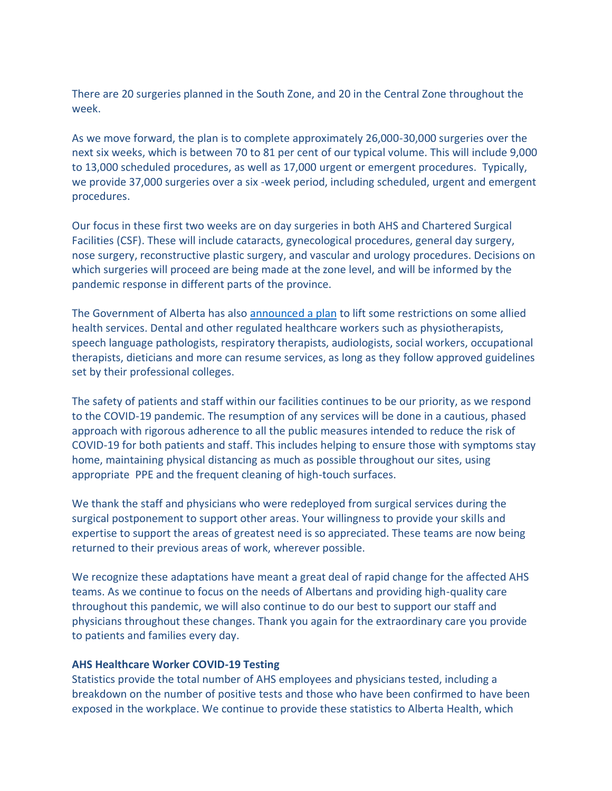There are 20 surgeries planned in the South Zone, and 20 in the Central Zone throughout the week.

As we move forward, the plan is to complete approximately 26,000-30,000 surgeries over the next six weeks, which is between 70 to 81 per cent of our typical volume. This will include 9,000 to 13,000 scheduled procedures, as well as 17,000 urgent or emergent procedures. Typically, we provide 37,000 surgeries over a six -week period, including scheduled, urgent and emergent procedures.

Our focus in these first two weeks are on day surgeries in both AHS and Chartered Surgical Facilities (CSF). These will include cataracts, gynecological procedures, general day surgery, nose surgery, reconstructive plastic surgery, and vascular and urology procedures. Decisions on which surgeries will proceed are being made at the zone level, and will be informed by the pandemic response in different parts of the province.

The Government of Alberta has also [announced a plan](https://www.alberta.ca/release.cfm?xID=71257CF84CA12-B538-BABF-0BD80F6B0D51DF28) to lift some restrictions on some allied health services. Dental and other regulated healthcare workers such as physiotherapists, speech language pathologists, respiratory therapists, audiologists, social workers, occupational therapists, dieticians and more can resume services, as long as they follow approved guidelines set by their professional colleges.

The safety of patients and staff within our facilities continues to be our priority, as we respond to the COVID-19 pandemic. The resumption of any services will be done in a cautious, phased approach with rigorous adherence to all the public measures intended to reduce the risk of COVID-19 for both patients and staff. This includes helping to ensure those with symptoms stay home, maintaining physical distancing as much as possible throughout our sites, using appropriate PPE and the frequent cleaning of high-touch surfaces.

We thank the staff and physicians who were redeployed from surgical services during the surgical postponement to support other areas. Your willingness to provide your skills and expertise to support the areas of greatest need is so appreciated. These teams are now being returned to their previous areas of work, wherever possible.

We recognize these adaptations have meant a great deal of rapid change for the affected AHS teams. As we continue to focus on the needs of Albertans and providing high-quality care throughout this pandemic, we will also continue to do our best to support our staff and physicians throughout these changes. Thank you again for the extraordinary care you provide to patients and families every day.

#### **AHS Healthcare Worker COVID-19 Testing**

Statistics provide the total number of AHS employees and physicians tested, including a breakdown on the number of positive tests and those who have been confirmed to have been exposed in the workplace. We continue to provide these statistics to Alberta Health, which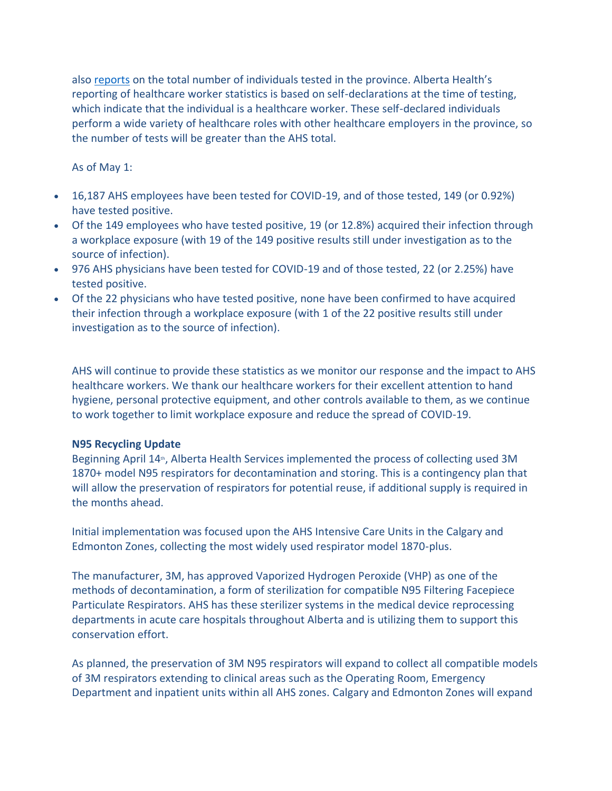also [reports](https://covid19stats.alberta.ca/) on the total number of individuals tested in the province. Alberta Health's reporting of healthcare worker statistics is based on self-declarations at the time of testing, which indicate that the individual is a healthcare worker. These self-declared individuals perform a wide variety of healthcare roles with other healthcare employers in the province, so the number of tests will be greater than the AHS total.

As of May 1:

- 16,187 AHS employees have been tested for COVID-19, and of those tested, 149 (or 0.92%) have tested positive.
- Of the 149 employees who have tested positive, 19 (or 12.8%) acquired their infection through a workplace exposure (with 19 of the 149 positive results still under investigation as to the source of infection).
- 976 AHS physicians have been tested for COVID-19 and of those tested, 22 (or 2.25%) have tested positive.
- Of the 22 physicians who have tested positive, none have been confirmed to have acquired their infection through a workplace exposure (with 1 of the 22 positive results still under investigation as to the source of infection).

AHS will continue to provide these statistics as we monitor our response and the impact to AHS healthcare workers. We thank our healthcare workers for their excellent attention to hand hygiene, personal protective equipment, and other controls available to them, as we continue to work together to limit workplace exposure and reduce the spread of COVID-19.

#### **N95 Recycling Update**

Beginning April 14<sup>th</sup>, Alberta Health Services implemented the process of collecting used 3M 1870+ model N95 respirators for decontamination and storing. This is a contingency plan that will allow the preservation of respirators for potential reuse, if additional supply is required in the months ahead.

Initial implementation was focused upon the AHS Intensive Care Units in the Calgary and Edmonton Zones, collecting the most widely used respirator model 1870-plus.

The manufacturer, 3M, has approved Vaporized Hydrogen Peroxide (VHP) as one of the methods of decontamination, a form of sterilization for compatible N95 Filtering Facepiece Particulate Respirators. AHS has these sterilizer systems in the medical device reprocessing departments in acute care hospitals throughout Alberta and is utilizing them to support this conservation effort.

As planned, the preservation of 3M N95 respirators will expand to collect all compatible models of 3M respirators extending to clinical areas such as the Operating Room, Emergency Department and inpatient units within all AHS zones. Calgary and Edmonton Zones will expand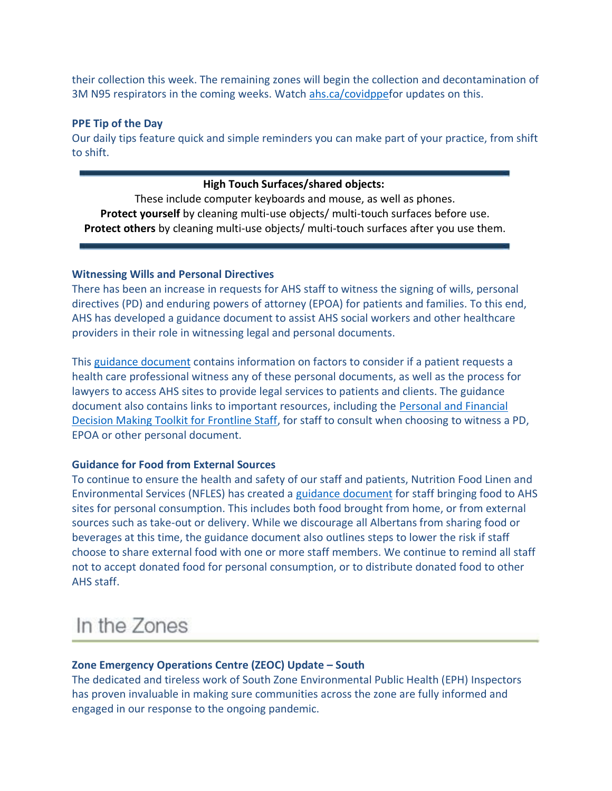their collection this week. The remaining zones will begin the collection and decontamination of 3M N95 respirators in the coming weeks. Watch [ahs.ca/covidppef](http://www.ahs.ca/covidppe)or updates on this.

#### **PPE Tip of the Day**

Our daily tips feature quick and simple reminders you can make part of your practice, from shift to shift.

#### **High Touch Surfaces/shared objects:**

These include computer keyboards and mouse, as well as phones. **Protect yourself** by cleaning multi-use objects/ multi-touch surfaces before use. **Protect others** by cleaning multi-use objects/ multi-touch surfaces after you use them.

# **Witnessing Wills and Personal Directives**

There has been an increase in requests for AHS staff to witness the signing of wills, personal directives (PD) and enduring powers of attorney (EPOA) for patients and families. To this end, AHS has developed a guidance document to assist AHS social workers and other healthcare providers in their role in witnessing legal and personal documents.

This [guidance document](https://insite.albertahealthservices.ca/main/assets/tls/ep/tls-ep-covid-19-witnessing-legal-and-personal-documents.pdf) contains information on factors to consider if a patient requests a health care professional witness any of these personal documents, as well as the process for lawyers to access AHS sites to provide legal services to patients and clients. The guidance document also contains links to important resources, including the [Personal and Financial](https://insite.albertahealthservices.ca/main/assets/tms/ppc/tms-ppc-social-work-decision-making-toolkit.pdf)  [Decision Making Toolkit for Frontline Staff,](https://insite.albertahealthservices.ca/main/assets/tms/ppc/tms-ppc-social-work-decision-making-toolkit.pdf) for staff to consult when choosing to witness a PD, EPOA or other personal document.

# **Guidance for Food from External Sources**

To continue to ensure the health and safety of our staff and patients, Nutrition Food Linen and Environmental Services (NFLES) has created a [guidance document](https://insite.albertahealthservices.ca/Main/assets/tls/ep/tls-ep-covid-19-external-food-staff.pdf) for staff bringing food to AHS sites for personal consumption. This includes both food brought from home, or from external sources such as take-out or delivery. While we discourage all Albertans from sharing food or beverages at this time, the guidance document also outlines steps to lower the risk if staff choose to share external food with one or more staff members. We continue to remind all staff not to accept donated food for personal consumption, or to distribute donated food to other AHS staff.

# In the Zones

# **Zone Emergency Operations Centre (ZEOC) Update – South**

The dedicated and tireless work of South Zone Environmental Public Health (EPH) Inspectors has proven invaluable in making sure communities across the zone are fully informed and engaged in our response to the ongoing pandemic.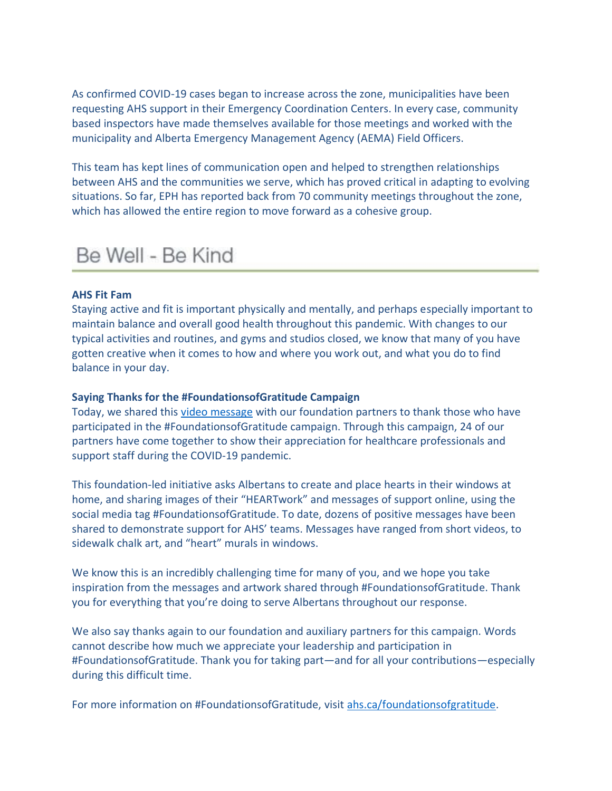As confirmed COVID-19 cases began to increase across the zone, municipalities have been requesting AHS support in their Emergency Coordination Centers. In every case, community based inspectors have made themselves available for those meetings and worked with the municipality and Alberta Emergency Management Agency (AEMA) Field Officers.

This team has kept lines of communication open and helped to strengthen relationships between AHS and the communities we serve, which has proved critical in adapting to evolving situations. So far, EPH has reported back from 70 community meetings throughout the zone, which has allowed the entire region to move forward as a cohesive group.

# Be Well - Be Kind

#### **AHS Fit Fam**

Staying active and fit is important physically and mentally, and perhaps especially important to maintain balance and overall good health throughout this pandemic. With changes to our typical activities and routines, and gyms and studios closed, we know that many of you have gotten creative when it comes to how and where you work out, and what you do to find balance in your day.

#### **Saying Thanks for the #FoundationsofGratitude Campaign**

Today, we shared this [video message](https://www.albertahealthservices.ca/topics/Page17114.aspx) with our foundation partners to thank those who have participated in the #FoundationsofGratitude campaign. Through this campaign, 24 of our partners have come together to show their appreciation for healthcare professionals and support staff during the COVID-19 pandemic.

This foundation-led initiative asks Albertans to create and place hearts in their windows at home, and sharing images of their "HEARTwork" and messages of support online, using the social media tag #FoundationsofGratitude. To date, dozens of positive messages have been shared to demonstrate support for AHS' teams. Messages have ranged from short videos, to sidewalk chalk art, and "heart" murals in windows.

We know this is an incredibly challenging time for many of you, and we hope you take inspiration from the messages and artwork shared through #FoundationsofGratitude. Thank you for everything that you're doing to serve Albertans throughout our response.

We also say thanks again to our foundation and auxiliary partners for this campaign. Words cannot describe how much we appreciate your leadership and participation in #FoundationsofGratitude. Thank you for taking part—and for all your contributions—especially during this difficult time.

For more information on #FoundationsofGratitude, visit ahs.ca/foundationsofgratitude.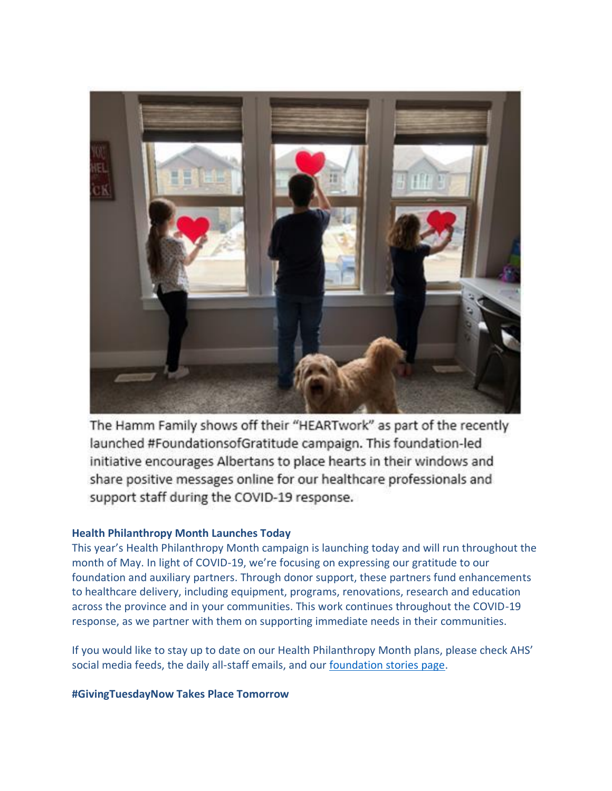

The Hamm Family shows off their "HEARTwork" as part of the recently launched #FoundationsofGratitude campaign. This foundation-led initiative encourages Albertans to place hearts in their windows and share positive messages online for our healthcare professionals and support staff during the COVID-19 response.

# **Health Philanthropy Month Launches Today**

This year's Health Philanthropy Month campaign is launching today and will run throughout the month of May. In light of COVID-19, we're focusing on expressing our gratitude to our foundation and auxiliary partners. Through donor support, these partners fund enhancements to healthcare delivery, including equipment, programs, renovations, research and education across the province and in your communities. This work continues throughout the COVID-19 response, as we partner with them on supporting immediate needs in their communities.

If you would like to stay up to date on our Health Philanthropy Month plans, please check AHS' social media feeds, the daily all-staff emails, and our [foundation stories page.](https://www.albertahealthservices.ca/give/Page13510.aspx)

# **#GivingTuesdayNow Takes Place Tomorrow**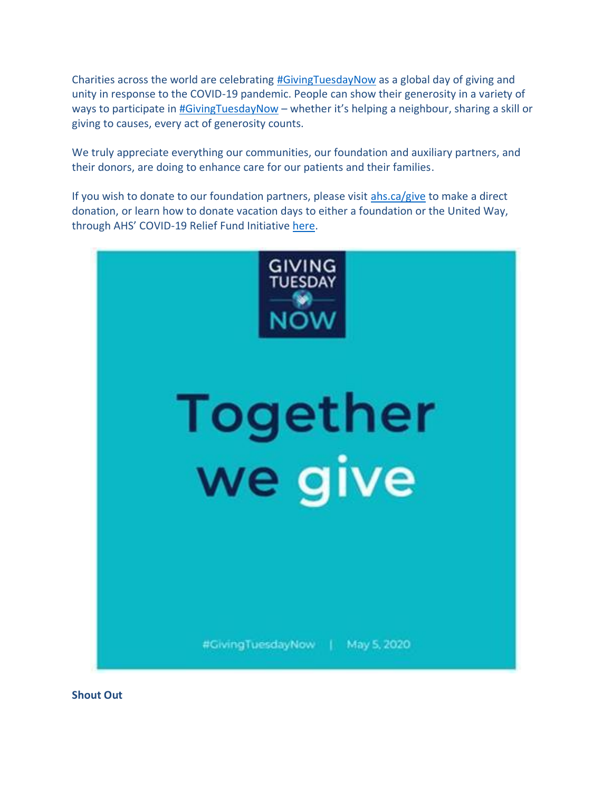Charities across the world are celebrating [#GivingTuesdayNow](http://now.givingtuesday.org/) as a global day of giving and unity in response to the COVID-19 pandemic. People can show their generosity in a variety of ways to participate in [#GivingTuesdayNow](http://now.givingtuesday.org/) – whether it's helping a neighbour, sharing a skill or giving to causes, every act of generosity counts.

We truly appreciate everything our communities, our foundation and auxiliary partners, and their donors, are doing to enhance care for our patients and their families.

If you wish to donate to our foundation partners, please visit [ahs.ca/give](http://www.ahs.ca/give) to make a direct donation, or learn how to donate vacation days to either a foundation or the United Way, through AHS' COVID-19 Relief Fund Initiative [here.](https://insite.albertahealthservices.ca/tools/Page24605.aspx)



**Shout Out**